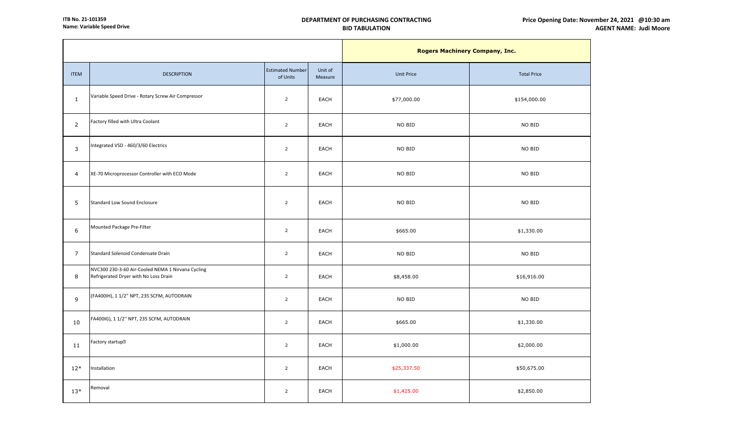|                 |                                                                                            | <b>Rogers Machinery Company, Inc.</b> |                    |                   |                    |
|-----------------|--------------------------------------------------------------------------------------------|---------------------------------------|--------------------|-------------------|--------------------|
| <b>ITEM</b>     | <b>DESCRIPTION</b>                                                                         | <b>Estimated Number</b><br>of Units   | Unit of<br>Measure | <b>Unit Price</b> | <b>Total Price</b> |
| $\mathbf{1}$    | Variable Speed Drive - Rotary Screw Air Compressor                                         | $\overline{2}$                        | EACH               | \$77,000.00       | \$154,000.00       |
| $\overline{2}$  | Factory filled with Ultra Coolant                                                          | $\overline{2}$                        | <b>EACH</b>        | NO BID            | NO BID             |
| 3               | Integrated VSD - 460/3/60 Electrics                                                        | $\overline{2}$                        | <b>EACH</b>        | NO BID            | NO BID             |
| $\overline{4}$  | XE-70 Microprocessor Controller with ECO Mode                                              | $\overline{2}$                        | <b>EACH</b>        | NO BID            | NO BID             |
| 5               | Standard Low Sound Enclosure                                                               | $\overline{2}$                        | <b>EACH</b>        | NO BID            | NO BID             |
| 6               | Mounted Package Pre-Filter                                                                 | $\overline{2}$                        | <b>EACH</b>        | \$665.00          | \$1,330.00         |
| $7\overline{ }$ | Standard Solenoid Condensate Drain                                                         | $\overline{2}$                        | EACH               | NO BID            | NO BID             |
| 8               | NVC300 230-3-60 Air-Cooled NEMA 1 Nirvana Cycling<br>Refrigerated Dryer with No Loss Drain | $\overline{2}$                        | <b>EACH</b>        | \$8,458.00        | \$16,916.00        |
| $\overline{9}$  | (FA400IH), 1 1/2" NPT, 235 SCFM, AUTODRAIN                                                 | $\overline{2}$                        | EACH               | NO BID            | NO BID             |
| 10              | FA400IG), 1 1/2" NPT, 235 SCFM, AUTODRAIN                                                  | $\overline{2}$                        | EACH               | \$665.00          | \$1,330.00         |
| 11              | Factory startup?                                                                           | $\overline{2}$                        | EACH               | \$1,000.00        | \$2,000.00         |
| $12*$           | Installation                                                                               | $\overline{2}$                        | EACH               | \$25,337.50       | \$50,675.00        |
| $13*$           | Removal                                                                                    | $\overline{2}$                        | EACH               | \$1,425.00        | \$2,850.00         |